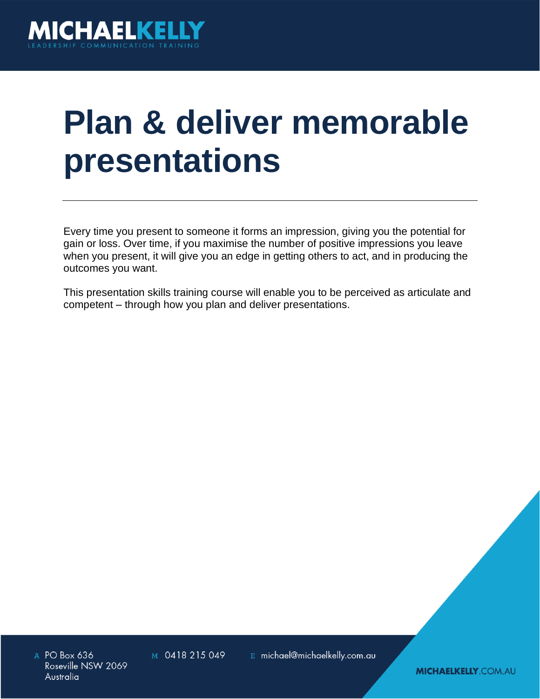

## **Plan & deliver memorable presentations**

Every time you present to someone it forms an impression, giving you the potential for gain or loss. Over time, if you maximise the number of positive impressions you leave when you present, it will give you an edge in getting others to act, and in producing the outcomes you want.

This presentation skills training course will enable you to be perceived as articulate and competent – through how you plan and deliver presentations.

A PO Box 636 Roseville NSW 2069 Australia

M 0418 215 049

E michael@michaelkelly.com.au

**MICHAELKELLY.COM.AU**